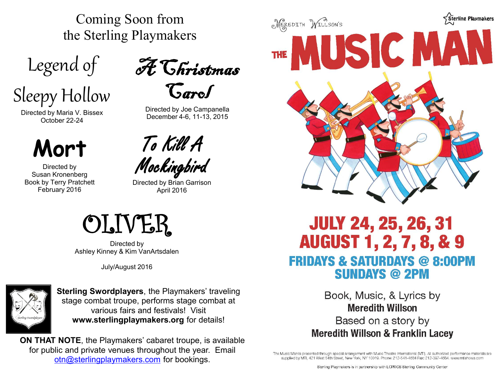Coming Soon from the Sterling Playmakers

Legend of

Sleepy Hollow

Directed by Maria V. Bissex October 22-24

# **Mort**

Directed by Susan Kronenberg Book by Terry Pratchett February 2016



Directed by Joe Campanella December 4-6, 11-13, 2015

To Kill A Mockingbird

Directed by Brian Garrison April 2016



Directed by Ashley Kinney & Kim VanArtsdalen

July/August 2016



**Sterling Swordplayers**, the Playmakers' traveling stage combat troupe, performs stage combat at various fairs and festivals! Visit **www.sterlingplaymakers.org** for details!

**ON THAT NOTE**, the Playmakers' cabaret troupe, is available for public and private venues throughout the year. Email [otn@sterlingplaymakers.com](mailto:otn@sterlingplaymakers.com) for bookings.



## **JULY 24, 25, 26, 31 AUGUST 1, 2, 7, 8, & 9 FRIDAYS & SATURDAYS @ 8:00PM SUNDAYS @ 2PM**

Book, Music, & Lyrics by *\$1 of the donation of the donation of the donation of the donation of the donation of the donation of the donation of the donation of the donation of the donation of the donation of the donation of the donation of the do* **Based on a story by Meredith Willson & Franklin Lacey** 

The Music Man is presented through special arrangement with Music Theatre International (MTI). All authorized performance materials are supplied by MTI, 421 West 54th Street, New York, NY 10019, Phone: 212-541-4684 Fax: 212-397-4684, www.mtishows.com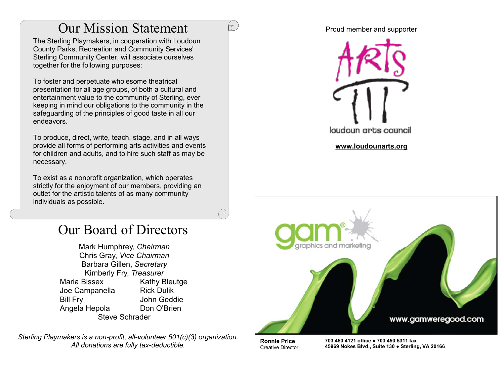## Our Mission Statement

 $\tau$ 

The Sterling Playmakers, in cooperation with Loudoun County Parks, Recreation and Community Services' Sterling Community Center, will associate ourselves together for the following purposes:

To foster and perpetuate wholesome theatrical presentation for all age groups, of both a cultural and entertainment value to the community of Sterling, ever keeping in mind our obligations to the community in the safeguarding of the principles of good taste in all our endeavors.

To produce, direct, write, teach, stage, and in all ways provide all forms of performing arts activities and events for children and adults, and to hire such staff as may be necessary.

To exist as a nonprofit organization, which operates strictly for the enjoyment of our members, providing an outlet for the artistic talents of as many community individuals as possible.

## Our Board of Directors

Mark Humphrey, *Chairman* Chris Gray, *Vice Chairman* Barbara Gillen, *Secretary* Kimberly Fry, *Treasurer* Maria Bissex Kathy Bleutge Joe Campanella Rick Dulik Bill Fry John Geddie Angela Hepola Don O'Brien Steve Schrader

*Sterling Playmakers is a non-profit, all-volunteer 501(c)(3) organization. All donations are fully tax-deductible.*

#### Proud member and supporter





**Ronnie Price** Creative Director **703.450.4121 office ● 703.450.5311 fax 45969 Nokes Blvd., Suite 130 ● Sterling, VA 20166**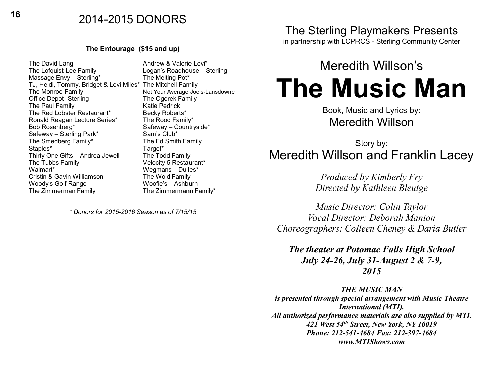## **<sup>16</sup>** 2014-2015 DONORS

#### **The Entourage (\$15 and up)**

The David Lang and The David Lang Andrew & Valerie Levi<br>The Lofquist-Lee Family **Andrew Andrew Andrew Andrew Andrew Andrew Andrew Andrew Andrew Andrew Andrew Andrew A** Massage Envy - Sterling\* The Melting Pot\* TJ, Heidi, Tommy, Bridget & Levi Miles\* The Mitchell Family The Monroe Family **Not Your Average Joe's-Lansdowne**<br>
Office Depot- Sterling **Not Your Average Steamily** Office Depot- Sterling The Ogorek Family The Paul Family The Red Lobster Restaurant\* Becky Roberts\* Ronald Reagan Lecture Series\* The Rood Family\* Bob Rosenberg\* Safeway – Countryside\* Safeway – Sterling Park\* Sam's Club\* The Smedberg Family\* The Ed Smith Family Staples\* Target\* Target\* Target<br>Thirty One Gifts – Andrea Jewell The Todd Family Thirty One Gifts – Andrea Jewell The Tubbs Family **The Tubbs Family** Velocity 5 Restaurant\*<br>Walmart\* Wenmans – Dulles\* Cristin & Gavin Williamson Woody's Golf Range Woofie's – Ashburn The Zimmerman Family The Zimmermann Family\*

Logan's Roadhouse – Sterling Wegmans – Dulles\*<br>The Wold Family

*\* Donors for 2015-2016 Season as of 7/15/15*

## The Sterling Playmakers Presents

in partnership with LCPRCS - Sterling Community Center

# Meredith Willson's **The Music Man**

Book, Music and Lyrics by: Meredith Willson

## Story by: Meredith Willson and Franklin Lacey

*Produced by Kimberly Fry Directed by Kathleen Bleutge*

*Music Director: Colin Taylor Vocal Director: Deborah Manion Choreographers: Colleen Cheney & Daria Butler*

*The theater at Potomac Falls High School July 24-26, July 31-August 2 & 7-9, 2015*

*THE MUSIC MAN*

*is presented through special arrangement with Music Theatre International (MTI). All authorized performance materials are also supplied by MTI. 421 West 54th Street, New York, NY 10019 Phone: 212-541-4684 Fax: 212-397-4684 www.MTIShows.com*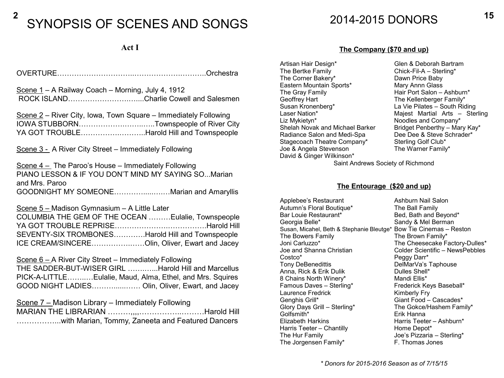# <sup>2</sup> SYNOPSIS OF SCENES AND SONGS 2014-2015 DONORS <sup>15</sup>

## **Act I**

OVERTURE…………………………..……………….………..Orchestra

Scene 1 – A Railway Coach – Morning, July 4, 1912 ROCK ISLAND…………………….…....Charlie Cowell and Salesmen

Scene 2 – River City, Iowa, Town Square – Immediately Following IOWA STUBBORN……………….……..…..Townspeople of River City YA GOT TROUBLE…………….………..Harold Hill and Townspeople

Scene 3 - A River City Street – Immediately Following

Scene 4 – The Paroo's House – Immediately Following PIANO LESSON & IF YOU DON'T MIND MY SAYING SO...Marian and Mrs. Paroo GOODNIGHT MY SOMEONE………….....….…Marian and Amaryllis

Scene 5 – Madison Gymnasium – A Little Later

COLUMBIA THE GEM OF THE OCEAN ………Eulalie, Townspeople YA GOT TROUBLE REPRISE………………….…………….Harold Hill SEVENTY-SIX TROMBONES………….Harold Hill and Townspeople ICE CREAM/SINCERE…………….……Olin, Oliver, Ewart and Jacey

Scene 6 – A River City Street – Immediately Following THE SADDER-BUT-WISER GIRL …….…...Harold Hill and Marcellus

PICK-A-LITTLE……..…Eulalie, Maud, Alma, Ethel, and Mrs. Squires GOOD NIGHT LADIES………......…… Olin, Oliver, Ewart, and Jacey

Scene 7 – Madison Library – Immediately Following MARIAN THE LIBRARIAN ………,,,,……………..………Harold Hill ……………...with Marian, Tommy, Zaneeta and Featured Dancers

#### **The Company (\$70 and up)**

Artisan Hair Design\* Glen & Deborah Bartram The Bertke Family Chick-Fil-A – Sterling\*<br>
The Corner Bakery\* Dawn Price Baby The Corner Bakery\* **Dawn Price Baby**<br> **Eastern Mountain Sports\*** Mary Annn Glass Eastern Mountain Sports\* The Gray Family **Hair Port Salon – Ashburn**\* Geoffrey Hart **The Kellenberger Family\***<br>
Susan Kronenberg\* The Mile Pilates – South Ric Susan Kronenberg\* La Vie Pilates – South Riding Liz Mykietyn\* **Noodles and Company\***<br>Shelah Novak and Michael Barker Bridget Penberthy – Mary Kay\* Shelah Novak and Michael Barker<br>Radiance Salon and Medi-Spa Stagecoach Theatre Company\* Sterling Golf Club\*<br>Joe & Angela Stevenson The Warner Family\* Joe & Angela Stevenson David & Ginger Wilkinson\*

Majest Martial Arts – Sterling Dee Dee & Steve Schrader\*<br>Sterling Golf Club\*

Saint Andrews Society of Richmond

#### **The Entourage (\$20 and up)**

Applebee's Restaurant **Ashburn Nail Salon**<br>
Autumn's Floral Boutique\* The Ball Family Autumn's Floral Boutique\*<br>Bar Louie Restaurant\* Bed, Bath and Beyond\* Georgia Belle\* Sandy & Mel Berman Susan, Micahel, Beth & Stephanie Bleutge\* Bow Tie Cinemas – Reston The Bowers Family **The Brown Family\*** Joni Carluzzo\* The Cheesecake Factory-Dulles\* Joe and Shanna Christian Colder Scientific – NewsPebbles Costco\* Peggy Darr\* DelMarVa's Taphouse Anna, Rick & Erik Dulik Dulles Shell\*<br>
8 Chains North Winery\* Mandi Filis\* 8 Chains North Winery\* Famous Daves – Sterling\* Frederick Keys Baseball\* Laurence Fredrick Kimberly Fry Genghis Grill\* Giant Food – Cascades\* Glory Days Grill – Sterling\* The Gokce/Hashem Family\* Golfsmith\* Erik Hanna Harris Teeter – Ashburn\* Harris Teeter – Chantilly Home Depot\* The Hur Family Joe's Pizzaria – Sterling\* The Jorgensen Family\* F. Thomas Jones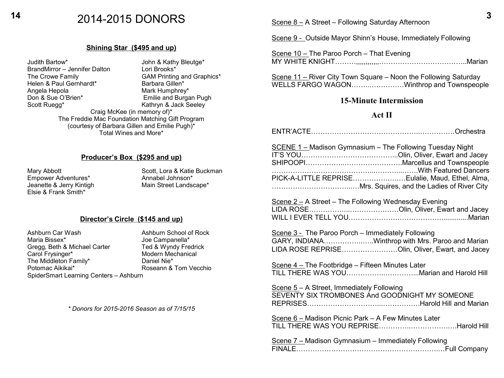## **<sup>14</sup> <sup>3</sup>** 2014-2015 DONORS Scene 8 – A Street – Following Saturday Afternoon

#### **Shining Star (\$495 and up)**

Judith Bartow\* John & Kathy Bleutge\*<br>
BrandMirror – Jennifer Dalton Lori Brooks\* BrandMirror – Jennifer Dalton<br>The Crowe Family GAM Printing and Graphics\*<br>Barbara Gillen\* Helen & Paul Gernhardt\*<br>Angela Hepola Angela Hepola<br>
Don & Sue O'Brien\*

The Mark Humphrey\*

Don & Sue O'Brien\*

Mark Humphrey\*

Let and Burga Emilie and Burgan Pugh Scott Ruegg\* Kathryn & Jack Seeley Craig McKee (in memory of)\* The Freddie Mac Foundation Matching Gift Program (courtesy of Barbara Gillen and Emilie Pugh)\* Total Wines and More\*

#### **Producer's Box (\$295 and up)**

Empower Adventures\* Elsie & Frank Smith\*

Mary Abbott **Scott**, Lora & Katie Buckman<br>
Empower Adventures\* Annabel Johnson\* Jeanette & Jerry Kintigh Main Street Landscape\*

#### **Director's Circle (\$145 and up)**

Ashburn Car Wash Ashburn School of Rock Maria Bissex\*<br>Gregg, Beth & Michael Carter Ted & Wyndy Fredrick Gregg, Beth & Michael Carter Carol Frysinger\* Modern Mechanical<br>The Middleton Family\* Maniel Nie\* The Middleton Family\*<br>Potomac Aikikai\* SpiderSmart Learning Centers – Ashburn

Roseann & Tom Vecchio

*\* Donors for 2015-2016 Season as of 7/15/15*

Scene 9 - Outside Mayor Shinn's House, Immediately Following

Scene 10 – The Paroo Porch – That Evening MY WHITE KNIGHT………,,,,,,,,,,,,………………………………..Marian

Scene 11 - River City Town Square - Noon the Following Saturday WELLS FARGO WAGON……..……………Winthrop and Townspeople

#### **15-Minute Intermission**

#### **Act II**

ENTR'ACTE………………………………………..……………Orchestra

| <b>SCENE 1-Madison Gymnasium - The Following Tuesday Night</b><br>PICK-A-LITTLE REPRISEEulalie, Maud, Ethel, Alma,                                       |
|----------------------------------------------------------------------------------------------------------------------------------------------------------|
|                                                                                                                                                          |
| Scene 2 - A Street - The Following Wednesday Evening                                                                                                     |
| Scene 3 - The Paroo Porch - Immediately Following<br>GARY, INDIANAWinthrop with Mrs. Paroo and Marian<br>LIDA ROSE REPRISEOlin, Oliver, Ewart, and Jacey |
| Scene 4 – The Footbridge – Fifteen Minutes Later<br>TILL THERE WAS YOUMarian and Harold Hill                                                             |
| Scene 5 - A Street, Immediately Following<br>SEVENTY SIX TROMBONES And GOODNIGHT MY SOMEONE                                                              |
| Scene 6 - Madison Picnic Park - A Few Minutes Later<br>TILL THERE WAS YOU REPRISEHarold Hill                                                             |
| Scene 7 - Madison Gymnasium - Immediately Following                                                                                                      |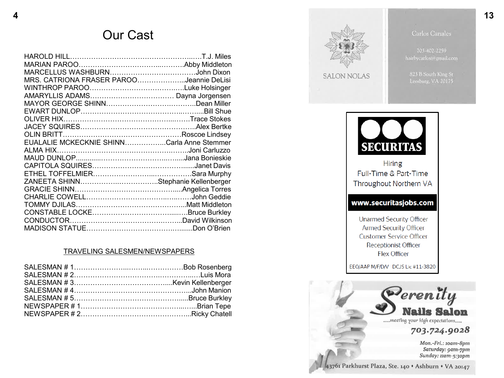## Our Cast

| MRS. CATRIONA FRASER PAROOJeannie DeLisi   |  |
|--------------------------------------------|--|
|                                            |  |
|                                            |  |
|                                            |  |
|                                            |  |
|                                            |  |
|                                            |  |
|                                            |  |
| EUALALIE MCKECKNIE SHINNCarla Anne Stemmer |  |
|                                            |  |
|                                            |  |
|                                            |  |
|                                            |  |
| ZANEETA SHINNStephanie Kellenberger        |  |
|                                            |  |
|                                            |  |
|                                            |  |
|                                            |  |
|                                            |  |
|                                            |  |

#### TRAVELING SALESMEN/NEWSPAPERS



43761 Parkhurst Plaza, Ste. 140 + Ashburn + VA 20147

Saturday: 9am-7pm Sunday: 11am-5:30pm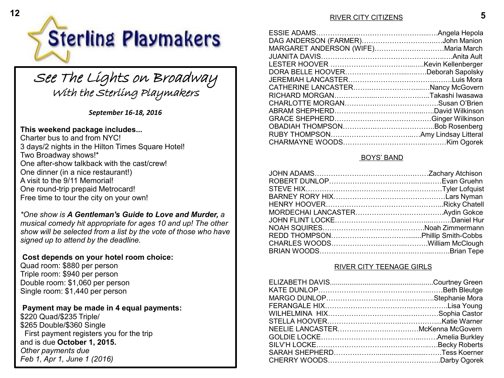

# See The Lights on Broadway<br>With the Sterling Playmakers

*September 16-18, 2016*

### **This weekend package includes...**

Charter bus to and from NYC! 3 days/2 nights in the Hilton Times Square Hotel! Two Broadway shows!\* One after-show talkback with the cast/crew! One dinner (in a nice restaurant!) A visit to the 9/11 Memorial! One round-trip prepaid Metrocard! Free time to tour the city on your own!

*\*One show is A Gentleman's Guide to Love and Murder, a musical comedy hit appropriate for ages 10 and up! The other show will be selected from a list by the vote of those who have signed up to attend by the deadline.*

### **Cost depends on your hotel room choice:**

Quad room: \$880 per person Triple room: \$940 per person Double room: \$1,060 per person Single room: \$1,440 per person

### **Payment may be made in 4 equal payments:**

\$220 Quad/\$235 Triple/ \$265 Double/\$360 Single First payment registers you for the trip and is due **October 1, 2015.** *Other payments due Feb 1, Apr 1, June 1 (2016)*

#### RIVER CITY CITIZENS

| MARGARET ANDERSON (WIFE) Maria March |  |
|--------------------------------------|--|
|                                      |  |
|                                      |  |
|                                      |  |
|                                      |  |
|                                      |  |
|                                      |  |
|                                      |  |
|                                      |  |
|                                      |  |
|                                      |  |
|                                      |  |
|                                      |  |
|                                      |  |

#### BOYS' BAND

#### RIVER CITY TEENAGE GIRLS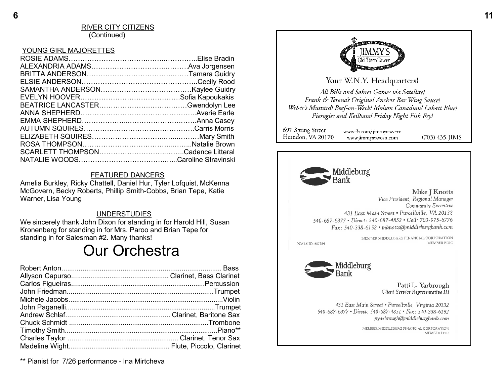#### RIVER CITY CITIZENS (Continued)

#### YOUNG GIRL MAJORETTES

#### FEATURED DANCERS

Amelia Burkley, Ricky Chattell, Daniel Hur, Tyler Lofquist, McKenna McGovern, Becky Roberts, Phillip Smith -Cobbs, Brian Tepe, Katie Warner, Lisa Young

#### UNDERSTUDIES

We sincerely thank John Dixon for standing in for Harold Hill, Susan Kronenberg for standing in for Mrs. Paroo and Brian Tepe for standing in for Salesman #2. Many thanks!

## Our Orchestra

\*\* Pianist for 7/26 performance - Ina Mirtcheva



Your W.N.Y. Headquarters!

All Bills and Sabres Games via Satellite! Frank & Teressa's Original Anchor Bar Wing Sauce! Weber's Mustard! Beef-on-Weck! Molson Canadian! Labatt Blue! Pierogies and Keilbasa! Friday Night Fish Fry!

697 Spring Street www.fb.com/jimnwstavern Herndon, VA 20170  $(703)$  435-JIMS www.jimmystavern.com



#### Mike I Knotts Vice President, Regional Manager

Community Executive 431 East Main Street . Purcellville, VA 20132 540-687-6377 • Direct: 540-687-4852 • Cell: 703-975-6776 Fax: 540-338-6152 · mknotts@middleburgbank.com

NMLS ID: 687784

MEMBER MIDDLEBURG FINANCIAL CORPORATION MEMBER FDIC



Patti L. Yarbrough Client Service Representative III

431 East Main Street . Purcellville, Virginia 20132 540-687-6377 • Direct: 540-687-4851 • Fax: 540-338-6152 pyarbrough@middleburgbank.com

> MEMBER MIDDLEBURG FINANCIAL CORPORATION MEMBER FDIC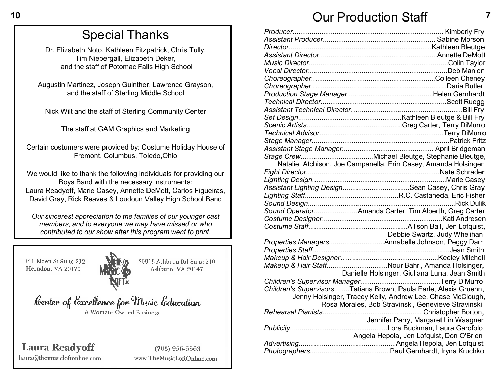## **10 7** Our Production Staff

| Natalie, Atchison, Joe Campanella, Erin Casey, Amanda Holsinger  |
|------------------------------------------------------------------|
|                                                                  |
|                                                                  |
| Assistant Lighting DesignSean Casey, Chris Gray                  |
|                                                                  |
|                                                                  |
|                                                                  |
|                                                                  |
|                                                                  |
| Debbie Swartz, Judy Whelihan                                     |
| Properties ManagersAnnabelle Johnson, Peggy Darr                 |
|                                                                  |
|                                                                  |
| Makeup & Hair StaffNour Bahri, Amanda Holsinger,                 |
| Danielle Holsinger, Giuliana Luna, Jean Smith                    |
|                                                                  |
| Children's SupervisorsTatiana Brown, Paula Earle, Alexis Gruehn, |
| Jenny Holsinger, Tracey Kelly, Andrew Lee, Chase McClough,       |
| Rosa Morales, Bob Stravinski, Genevieve Stravinski               |
|                                                                  |
| Jennifer Parry, Margaret Lin Waagner                             |
|                                                                  |
| Angela Hepola, Jen Lofquist, Don O'Brien                         |
|                                                                  |
|                                                                  |

## Special Thanks

Dr. Elizabeth Noto, Kathleen Fitzpatrick, Chris Tully, Tim Niebergall, Elizabeth Deker, and the staff of Potomac Falls High School

Augustin Martinez, Joseph Guinther, Lawrence Grayson, and the staff of Sterling Middle School

Nick Wilt and the staff of Sterling Community Center

The staff at GAM Graphics and Marketing

Certain costumers were provided by: Costume Holiday House of Fremont, Columbus, Toledo,Ohio

We would like to thank the following individuals for providing our Boys Band with the necessary instruments: Laura Readyoff, Marie Casey, Annette DeMott, Carlos Figueiras, David Gray, Rick Reaves & Loudoun Valley High School Band

*Our sincerest appreciation to the families of our younger cast members, and to everyone we may have missed or who contributed to our show after this program went to print.*